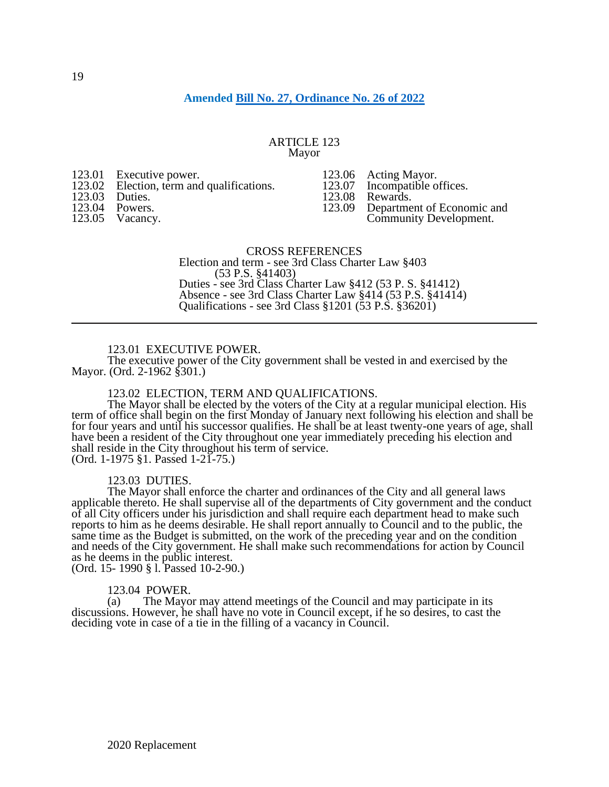# **Amended [Bill No. 27, Ordinance No. 26 of 2022](https://www.yorkcity.org/wp-content/uploads/2022/04/Bill27-Ord26.pdf)**

#### ARTICLE 123 Mayor

- 123.01 Executive power.
- 123.02 Election, term and qualifications.
- 123.03 Duties.
- 123.04 Powers.
- 123.05 Vacancy.
- 123.06 Acting Mayor.<br>123.07 Incompatible o 123.07 Incompatible offices.<br>123.08 Rewards.
- 

123.08 Rewards.<br>123.09 Departme Department of Economic and Community Development.

# CROSS REFERENCES

Election and term - see 3rd Class Charter Law §403 (53 P.S. §41403) Duties - see 3rd Class Charter Law §412 (53 P. S. §41412) Absence - see 3rd Class Charter Law §414 (53 P.S. §41414) Qualifications - see 3rd Class §1201 (53 P.S. §36201)

### 123.01 EXECUTIVE POWER.

The executive power of the City government shall be vested in and exercised by the Mayor. (Ord. 2-1962 §301.)

## 123.02 ELECTION, TERM AND QUALIFICATIONS.

The Mayor shall be elected by the voters of the City at a regular municipal election. His term of office shall begin on the first Monday of January next following his election and shall be for four years and until his successor qualifies. He shall be at least twenty-one years of age, shall have been a resident of the City throughout one year immediately preceding his election and shall reside in the City throughout his term of service. (Ord. 1-1975 §1. Passed 1-21-75.)

123.03 DUTIES.

The Mayor shall enforce the charter and ordinances of the City and all general laws applicable thereto. He shall supervise all of the departments of City government and the conduct of all City officers under his jurisdiction and shall require each department head to make such reports to him as he deems desirable. He shall report annually to Council and to the public, the same time as the Budget is submitted, on the work of the preceding year and on the condition and needs of the City government. He shall make such recommendations for action by Council as he deems in the public interest. (Ord. 15- 1990 § l. Passed 10-2-90.)

## 123.04 POWER.

(a) The Mayor may attend meetings of the Council and may participate in its discussions. However, he shall have no vote in Council except, if he so desires, to cast the deciding vote in case of a tie in the filling of a vacancy in Council.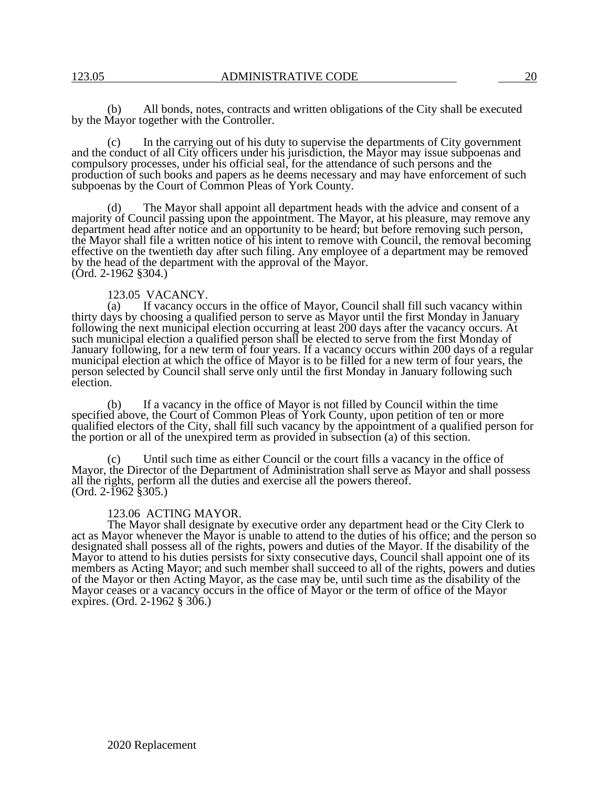(b) All bonds, notes, contracts and written obligations of the City shall be executed by the Mayor together with the Controller.

In the carrying out of his duty to supervise the departments of City government and the conduct of all City officers under his jurisdiction, the Mayor may issue subpoenas and compulsory processes, under his official seal, for the attendance of such persons and the production of such books and papers as he deems necessary and may have enforcement of such subpoenas by the Court of Common Pleas of York County.

(d) The Mayor shall appoint all department heads with the advice and consent of a majority of Council passing upon the appointment. The Mayor, at his pleasure, may remove any department head after notice and an opportunity to be heard; but before removing such person, the Mayor shall file a written notice of his intent to remove with Council, the removal becoming effective on the twentieth day after such filing. Any employee of a department may be removed by the head of the department with the approval of the Mayor. (Ord. 2-1962 §304.)

#### 123.05 VACANCY.

(a) If vacancy occurs in the office of Mayor, Council shall fill such vacancy within thirty days by choosing a qualified person to serve as Mayor until the first Monday in January following the next municipal election occurring at least 200 days after the vacancy occurs. At such municipal election a qualified person shall be elected to serve from the first Monday of January following, for a new term of four years. If a vacancy occurs within 200 days of a regular municipal election at which the office of Mayor is to be filled for a new term of four years, the person selected by Council shall serve only until the first Monday in January following such election.

(b) If a vacancy in the office of Mayor is not filled by Council within the time specified above, the Court of Common Pleas of York County, upon petition of ten or more qualified electors of the City, shall fill such vacancy by the appointment of a qualified person for the portion or all of the unexpired term as provided in subsection (a) of this section.

(c) Until such time as either Council or the court fills a vacancy in the office of Mayor, the Director of the Department of Administration shall serve as Mayor and shall possess all the rights, perform all the duties and exercise all the powers thereof.  $(Ord. 2-1962 \$ \$305.)

#### 123.06 ACTING MAYOR.

The Mayor shall designate by executive order any department head or the City Clerk to act as Mayor whenever the Mayor is unable to attend to the duties of his office; and the person so designated shall possess all of the rights, powers and duties of the Mayor. If the disability of the Mayor to attend to his duties persists for sixty consecutive days, Council shall appoint one of its members as Acting Mayor; and such member shall succeed to all of the rights, powers and duties of the Mayor or then Acting Mayor, as the case may be, until such time as the disability of the Mayor ceases or a vacancy occurs in the office of Mayor or the term of office of the Mayor expires. (Ord. 2-1962 § 306.)